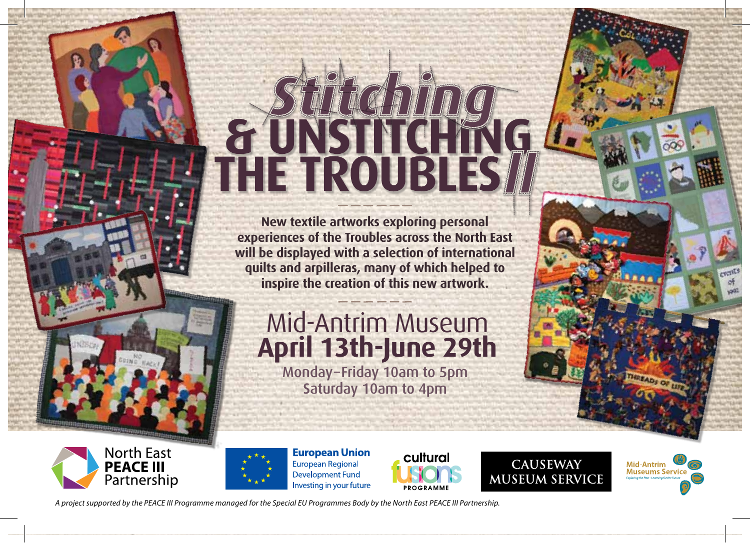# *II Stitching*

**New textile artworks exploring personal experiences of the Troubles across the North East will be displayed with a selection of international quilts and arpilleras, many of which helped to inspire the creation of this new artwork.**

### Mid-Antrim Museum **April 13th-June 29th**

Monday–Friday 10am to 5pm Saturday 10am to 4pm





**European Union** European Regional **Development Fund** Investing in your future



**CAUSEWAY MUSEUM SERVICE** 



*A project supported by the PEACE III Programme managed for the Special EU Programmes Body by the North East PEACE III Partnership.*